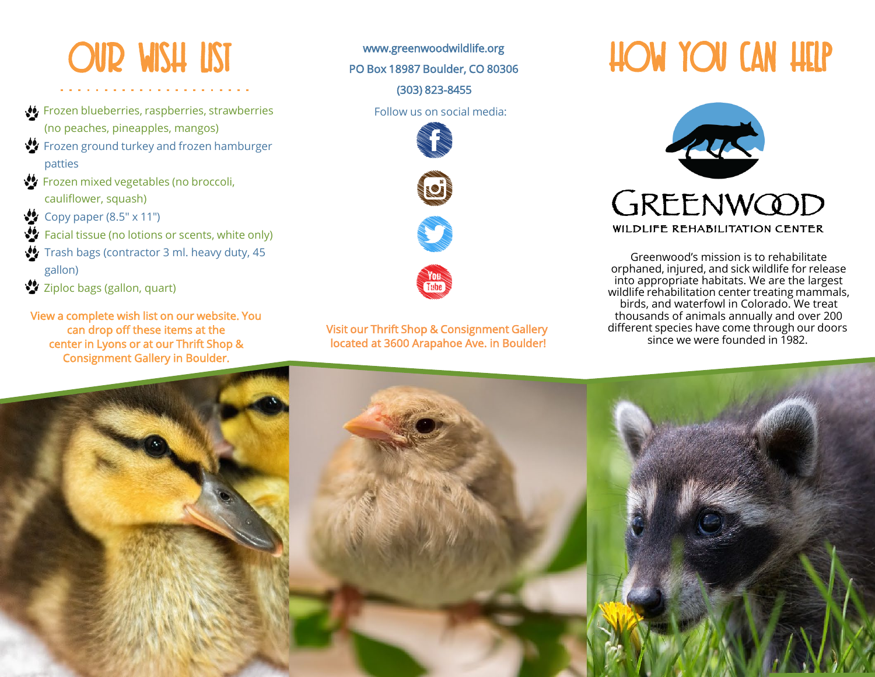## Our Wish List

- Frozen blueberries, raspberries, strawberries (no peaches, pineapples, mangos)
- $\mathbf{C}$  Frozen ground turkey and frozen hamburger patties
- **SV** Frozen mixed vegetables (no broccoli, cauliflower, squash)
- Copy paper  $(8.5" \times 11")$
- **Facial tissue (no lotions or scents, white only)**
- Trash bags (contractor 3 ml. heavy duty, 45 gallon)
- Ziploc bags (gallon, quart)

View a complete wish list on our website. You can drop off these items at the center in Lyons or at our Thrift Shop & Consignment Gallery in Boulder.

[www.greenwoodwildlife.org](http://www.greenwoodwildlife.org/)  PO Box 18987 Boulder, CO 80306 (303) 823-8455

Follow us on social media:







Visit our Thrift Shop & Consignment Gallery located at 3600 Arapahoe Ave. in Boulder!

How you Can Help



Greenwood's mission is to rehabilitate orphaned, injured, and sick wildlife for release into appropriate habitats. We are the largest wildlife rehabilitation center treating mammals, birds, and waterfowl in Colorado. We treat thousands of animals annually and over 200 different species have come through our doors since we were founded in 1982.